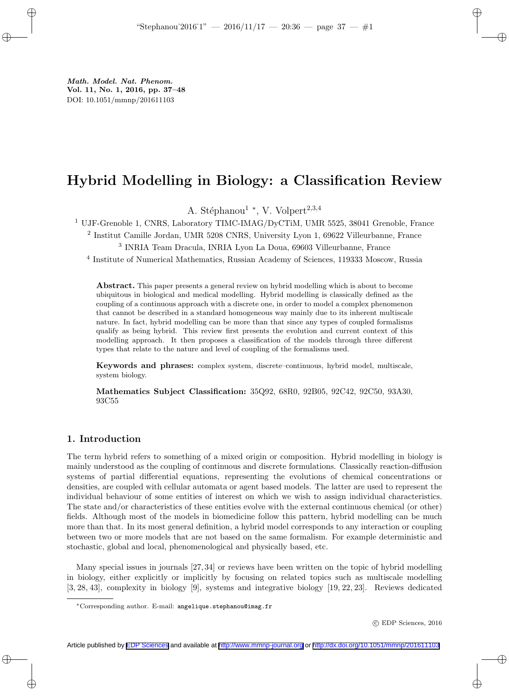# Hybrid Modelling in Biology: a Classification Review

A. Stéphanou<sup>1</sup> \*, V. Volpert<sup>2,3,4</sup>

<sup>1</sup> UJF-Grenoble 1, CNRS, Laboratory TIMC-IMAG/DyCTiM, UMR 5525, 38041 Grenoble, France 2 Institut Camille Jordan, UMR 5208 CNRS, University Lyon 1, 69622 Villeurbanne, France

3 INRIA Team Dracula, INRIA Lyon La Doua, 69603 Villeurbanne, France

4 Institute of Numerical Mathematics, Russian Academy of Sciences, 119333 Moscow, Russia

Abstract. This paper presents a general review on hybrid modelling which is about to become ubiquitous in biological and medical modelling. Hybrid modelling is classically defined as the coupling of a continuous approach with a discrete one, in order to model a complex phenomenon that cannot be described in a standard homogeneous way mainly due to its inherent multiscale nature. In fact, hybrid modelling can be more than that since any types of coupled formalisms qualify as being hybrid. This review first presents the evolution and current context of this modelling approach. It then proposes a classification of the models through three different types that relate to the nature and level of coupling of the formalisms used.

Keywords and phrases: complex system, discrete–continuous, hybrid model, multiscale, system biology.

Mathematics Subject Classification: 35Q92, 68R0, 92B05, 92C42, 92C50, 93A30, 93C55

# 1. Introduction

The term hybrid refers to something of a mixed origin or composition. Hybrid modelling in biology is mainly understood as the coupling of continuous and discrete formulations. Classically reaction-diffusion systems of partial differential equations, representing the evolutions of chemical concentrations or densities, are coupled with cellular automata or agent based models. The latter are used to represent the individual behaviour of some entities of interest on which we wish to assign individual characteristics. The state and/or characteristics of these entities evolve with the external continuous chemical (or other) fields. Although most of the models in biomedicine follow this pattern, hybrid modelling can be much more than that. In its most general definition, a hybrid model corresponds to any interaction or coupling between two or more models that are not based on the same formalism. For example deterministic and stochastic, global and local, phenomenological and physically based, etc.

Many special issues in journals [27, 34] or reviews have been written on the topic of hybrid modelling in biology, either explicitly or implicitly by focusing on related topics such as multiscale modelling [3, 28, 43], complexity in biology [9], systems and integrative biology [19, 22, 23]. Reviews dedicated

<sup>∗</sup>Corresponding author. E-mail: angelique.stephanou@imag.fr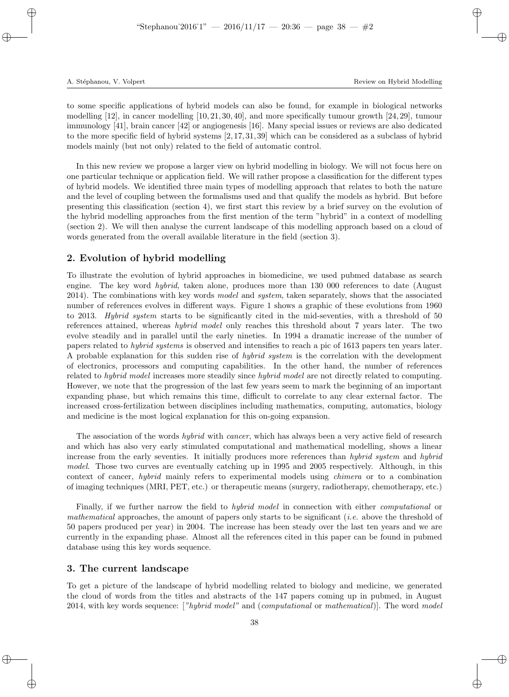to some specific applications of hybrid models can also be found, for example in biological networks modelling [12], in cancer modelling [10, 21, 30, 40], and more specifically tumour growth [24, 29], tumour immunology [41], brain cancer [42] or angiogenesis [16]. Many special issues or reviews are also dedicated to the more specific field of hybrid systems [2, 17, 31, 39] which can be considered as a subclass of hybrid models mainly (but not only) related to the field of automatic control.

In this new review we propose a larger view on hybrid modelling in biology. We will not focus here on one particular technique or application field. We will rather propose a classification for the different types of hybrid models. We identified three main types of modelling approach that relates to both the nature and the level of coupling between the formalisms used and that qualify the models as hybrid. But before presenting this classification (section 4), we first start this review by a brief survey on the evolution of the hybrid modelling approaches from the first mention of the term "hybrid" in a context of modelling (section 2). We will then analyse the current landscape of this modelling approach based on a cloud of words generated from the overall available literature in the field (section 3).

# 2. Evolution of hybrid modelling

To illustrate the evolution of hybrid approaches in biomedicine, we used pubmed database as search engine. The key word *hybrid*, taken alone, produces more than 130 000 references to date (August 2014). The combinations with key words model and *system*, taken separately, shows that the associated number of references evolves in different ways. Figure 1 shows a graphic of these evolutions from 1960 to 2013. Hybrid system starts to be significantly cited in the mid-seventies, with a threshold of 50 references attained, whereas hybrid model only reaches this threshold about 7 years later. The two evolve steadily and in parallel until the early nineties. In 1994 a dramatic increase of the number of papers related to hybrid systems is observed and intensifies to reach a pic of 1613 papers ten years later. A probable explanation for this sudden rise of hybrid system is the correlation with the development of electronics, processors and computing capabilities. In the other hand, the number of references related to *hybrid model* increases more steadily since *hybrid model* are not directly related to computing. However, we note that the progression of the last few years seem to mark the beginning of an important expanding phase, but which remains this time, difficult to correlate to any clear external factor. The increased cross-fertilization between disciplines including mathematics, computing, automatics, biology and medicine is the most logical explanation for this on-going expansion.

The association of the words *hybrid* with *cancer*, which has always been a very active field of research and which has also very early stimulated computational and mathematical modelling, shows a linear increase from the early seventies. It initially produces more references than hybrid system and hybrid model. Those two curves are eventually catching up in 1995 and 2005 respectively. Although, in this context of cancer, hybrid mainly refers to experimental models using chimera or to a combination of imaging techniques (MRI, PET, etc.) or therapeutic means (surgery, radiotherapy, chemotherapy, etc.)

Finally, if we further narrow the field to hybrid model in connection with either computational or mathematical approaches, the amount of papers only starts to be significant (i.e. above the threshold of 50 papers produced per year) in 2004. The increase has been steady over the last ten years and we are currently in the expanding phase. Almost all the references cited in this paper can be found in pubmed database using this key words sequence.

## 3. The current landscape

To get a picture of the landscape of hybrid modelling related to biology and medicine, we generated the cloud of words from the titles and abstracts of the 147 papers coming up in pubmed, in August 2014, with key words sequence: ["hybrid model" and (computational or mathematical)]. The word model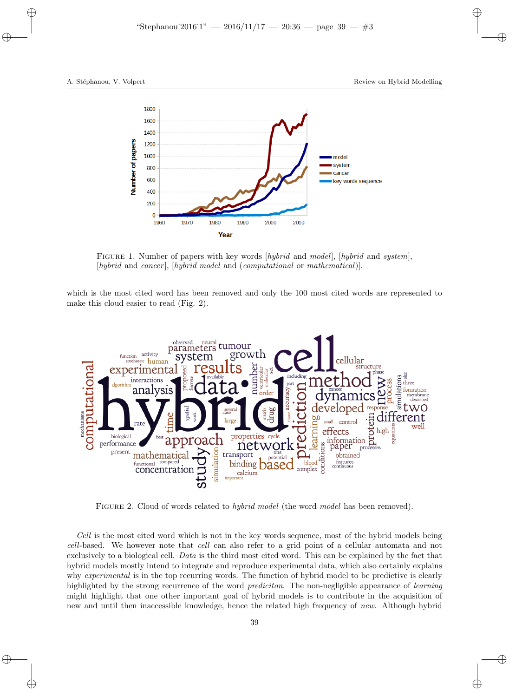

FIGURE 1. Number of papers with key words [hybrid and model], [hybrid and system],  $[hybrid \text{ and } cancer]$ ,  $[hybrid \text{ model and } (computational \text{ or } mathematical)].$ 

which is the most cited word has been removed and only the 100 most cited words are represented to make this cloud easier to read (Fig. 2).



FIGURE 2. Cloud of words related to *hybrid model* (the word *model* has been removed).

Cell is the most cited word which is not in the key words sequence, most of the hybrid models being cell-based. We however note that cell can also refer to a grid point of a cellular automata and not exclusively to a biological cell. Data is the third most cited word. This can be explained by the fact that hybrid models mostly intend to integrate and reproduce experimental data, which also certainly explains why experimental is in the top recurring words. The function of hybrid model to be predictive is clearly highlighted by the strong recurrence of the word *prediciton*. The non-negligible appearance of *learning* might highlight that one other important goal of hybrid models is to contribute in the acquisition of new and until then inaccessible knowledge, hence the related high frequency of new. Although hybrid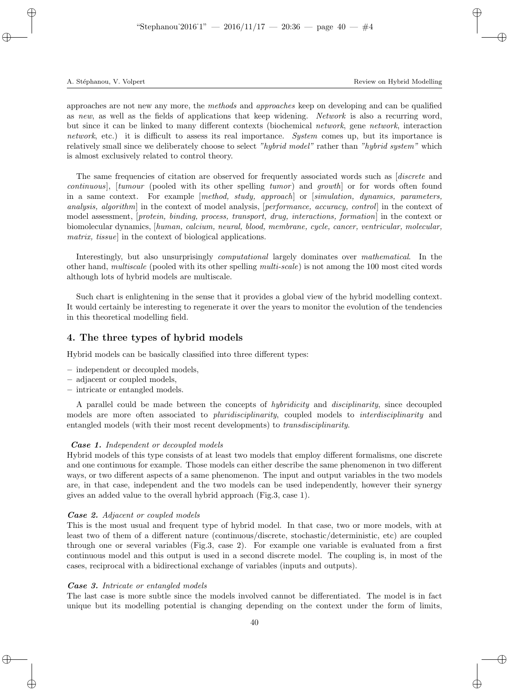approaches are not new any more, the *methods* and *approaches* keep on developing and can be qualified as new, as well as the fields of applications that keep widening. Network is also a recurring word, but since it can be linked to many different contexts (biochemical network, gene network, interaction network, etc.) it is difficult to assess its real importance. System comes up, but its importance is relatively small since we deliberately choose to select "hybrid model" rather than "hybrid system" which is almost exclusively related to control theory.

The same frequencies of citation are observed for frequently associated words such as [discrete and continuous), [tumour (pooled with its other spelling tumor) and growth] or for words often found in a same context. For example  $[method, study, approach]$  or  $[simulation, dynamics, parameters,$ analysis, algorithm in the context of model analysis, [performance, accuracy, control] in the context of model assessment, *[protein, binding, process, transport, drug, interactions, formation*] in the context or biomolecular dynamics, [human, calcium, neural, blood, membrane, cycle, cancer, ventricular, molecular, matrix, tissue in the context of biological applications.

Interestingly, but also unsurprisingly computational largely dominates over mathematical. In the other hand, multiscale (pooled with its other spelling multi-scale) is not among the 100 most cited words although lots of hybrid models are multiscale.

Such chart is enlightening in the sense that it provides a global view of the hybrid modelling context. It would certainly be interesting to regenerate it over the years to monitor the evolution of the tendencies in this theoretical modelling field.

# 4. The three types of hybrid models

Hybrid models can be basically classified into three different types:

- independent or decoupled models,
- adjacent or coupled models,
- intricate or entangled models.

A parallel could be made between the concepts of hybridicity and disciplinarity, since decoupled models are more often associated to *pluridisciplinarity*, coupled models to *interdisciplinarity* and entangled models (with their most recent developments) to transdisciplinarity.

#### Case 1. Independent or decoupled models

Hybrid models of this type consists of at least two models that employ different formalisms, one discrete and one continuous for example. Those models can either describe the same phenomenon in two different ways, or two different aspects of a same phenomenon. The input and output variables in the two models are, in that case, independent and the two models can be used independently, however their synergy gives an added value to the overall hybrid approach (Fig.3, case 1).

#### Case 2. Adjacent or coupled models

This is the most usual and frequent type of hybrid model. In that case, two or more models, with at least two of them of a different nature (continuous/discrete, stochastic/deterministic, etc) are coupled through one or several variables (Fig.3, case 2). For example one variable is evaluated from a first continuous model and this output is used in a second discrete model. The coupling is, in most of the cases, reciprocal with a bidirectional exchange of variables (inputs and outputs).

## Case 3. Intricate or entangled models

The last case is more subtle since the models involved cannot be differentiated. The model is in fact unique but its modelling potential is changing depending on the context under the form of limits,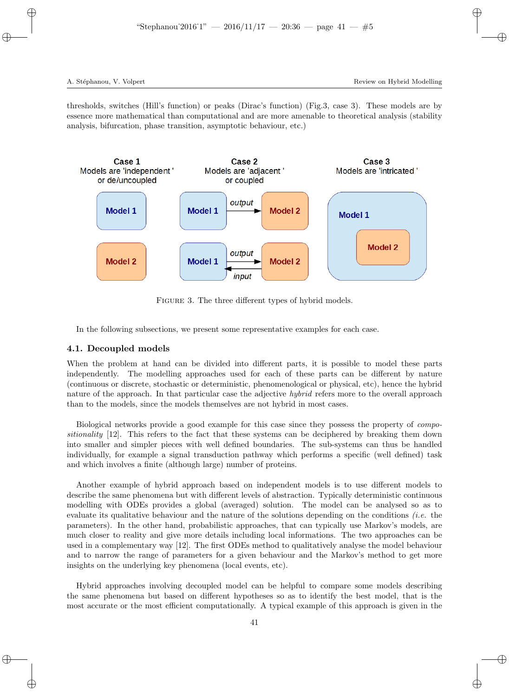thresholds, switches (Hill's function) or peaks (Dirac's function) (Fig.3, case 3). These models are by essence more mathematical than computational and are more amenable to theoretical analysis (stability analysis, bifurcation, phase transition, asymptotic behaviour, etc.)



FIGURE 3. The three different types of hybrid models.

In the following subsections, we present some representative examples for each case.

#### 4.1. Decoupled models

When the problem at hand can be divided into different parts, it is possible to model these parts independently. The modelling approaches used for each of these parts can be different by nature (continuous or discrete, stochastic or deterministic, phenomenological or physical, etc), hence the hybrid nature of the approach. In that particular case the adjective *hybrid* refers more to the overall approach than to the models, since the models themselves are not hybrid in most cases.

Biological networks provide a good example for this case since they possess the property of compositionality [12]. This refers to the fact that these systems can be deciphered by breaking them down into smaller and simpler pieces with well defined boundaries. The sub-systems can thus be handled individually, for example a signal transduction pathway which performs a specific (well defined) task and which involves a finite (although large) number of proteins.

Another example of hybrid approach based on independent models is to use different models to describe the same phenomena but with different levels of abstraction. Typically deterministic continuous modelling with ODEs provides a global (averaged) solution. The model can be analysed so as to evaluate its qualitative behaviour and the nature of the solutions depending on the conditions (i.e. the parameters). In the other hand, probabilistic approaches, that can typically use Markov's models, are much closer to reality and give more details including local informations. The two approaches can be used in a complementary way [12]. The first ODEs method to qualitatively analyse the model behaviour and to narrow the range of parameters for a given behaviour and the Markov's method to get more insights on the underlying key phenomena (local events, etc).

Hybrid approaches involving decoupled model can be helpful to compare some models describing the same phenomena but based on different hypotheses so as to identify the best model, that is the most accurate or the most efficient computationally. A typical example of this approach is given in the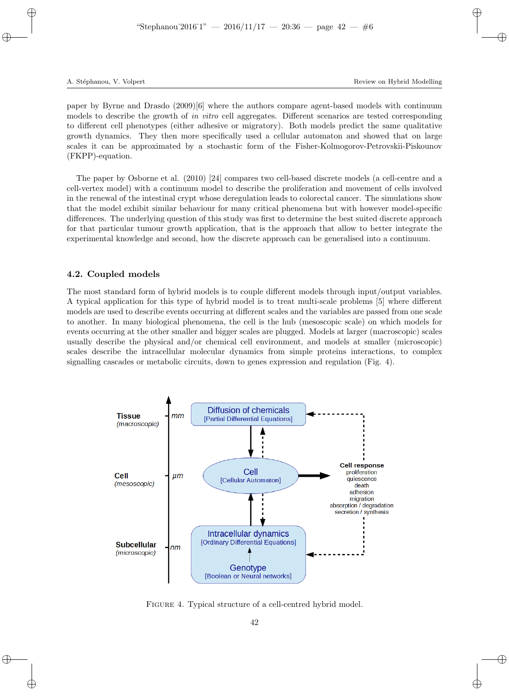paper by Byrne and Drasdo (2009)[6] where the authors compare agent-based models with continuum models to describe the growth of in vitro cell aggregates. Different scenarios are tested corresponding to different cell phenotypes (either adhesive or migratory). Both models predict the same qualitative growth dynamics. They then more specifically used a cellular automaton and showed that on large scales it can be approximated by a stochastic form of the Fisher-Kolmogorov-Petrovskii-Piskounov (FKPP)-equation.

The paper by Osborne et al. (2010) [24] compares two cell-based discrete models (a cell-centre and a cell-vertex model) with a continuum model to describe the proliferation and movement of cells involved in the renewal of the intestinal crypt whose deregulation leads to colorectal cancer. The simulations show that the model exhibit similar behaviour for many critical phenomena but with however model-specific differences. The underlying question of this study was first to determine the best suited discrete approach for that particular tumour growth application, that is the approach that allow to better integrate the experimental knowledge and second, how the discrete approach can be generalised into a continuum.

## 4.2. Coupled models

The most standard form of hybrid models is to couple different models through input/output variables. A typical application for this type of hybrid model is to treat multi-scale problems [5] where different models are used to describe events occurring at different scales and the variables are passed from one scale to another. In many biological phenomena, the cell is the hub (mesoscopic scale) on which models for events occurring at the other smaller and bigger scales are plugged. Models at larger (macroscopic) scales usually describe the physical and/or chemical cell environment, and models at smaller (microscopic) scales describe the intracellular molecular dynamics from simple proteins interactions, to complex signalling cascades or metabolic circuits, down to genes expression and regulation (Fig. 4).



FIGURE 4. Typical structure of a cell-centred hybrid model.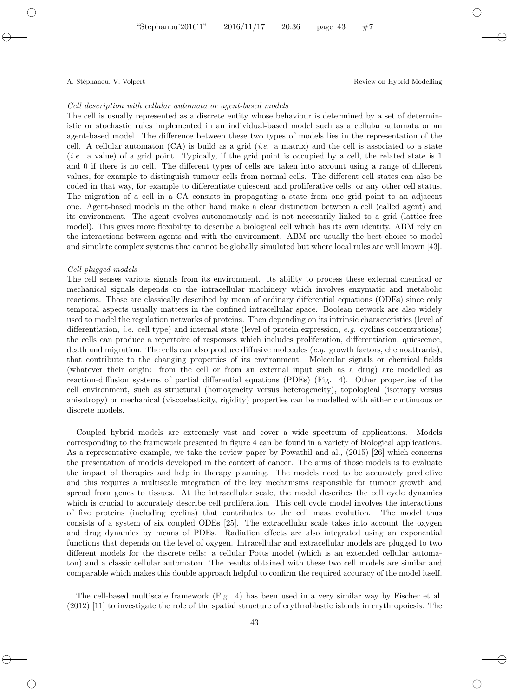#### Cell description with cellular automata or agent-based models

The cell is usually represented as a discrete entity whose behaviour is determined by a set of deterministic or stochastic rules implemented in an individual-based model such as a cellular automata or an agent-based model. The difference between these two types of models lies in the representation of the cell. A cellular automaton  $(CA)$  is build as a grid *(i.e.* a matrix) and the cell is associated to a state (i.e. a value) of a grid point. Typically, if the grid point is occupied by a cell, the related state is 1 and 0 if there is no cell. The different types of cells are taken into account using a range of different values, for example to distinguish tumour cells from normal cells. The different cell states can also be coded in that way, for example to differentiate quiescent and proliferative cells, or any other cell status. The migration of a cell in a CA consists in propagating a state from one grid point to an adjacent one. Agent-based models in the other hand make a clear distinction between a cell (called agent) and its environment. The agent evolves autonomously and is not necessarily linked to a grid (lattice-free model). This gives more flexibility to describe a biological cell which has its own identity. ABM rely on the interactions between agents and with the environment. ABM are usually the best choice to model and simulate complex systems that cannot be globally simulated but where local rules are well known [43].

#### Cell-plugged models

The cell senses various signals from its environment. Its ability to process these external chemical or mechanical signals depends on the intracellular machinery which involves enzymatic and metabolic reactions. Those are classically described by mean of ordinary differential equations (ODEs) since only temporal aspects usually matters in the confined intracellular space. Boolean network are also widely used to model the regulation networks of proteins. Then depending on its intrinsic characteristics (level of differentiation, *i.e.* cell type) and internal state (level of protein expression, *e.g.* cyclins concentrations) the cells can produce a repertoire of responses which includes proliferation, differentiation, quiescence, death and migration. The cells can also produce diffusive molecules  $(e, q, g)$  growth factors, chemoattrants), that contribute to the changing properties of its environment. Molecular signals or chemical fields (whatever their origin: from the cell or from an external input such as a drug) are modelled as reaction-diffusion systems of partial differential equations (PDEs) (Fig. 4). Other properties of the cell environment, such as structural (homogeneity versus heterogeneity), topological (isotropy versus anisotropy) or mechanical (viscoelasticity, rigidity) properties can be modelled with either continuous or discrete models.

Coupled hybrid models are extremely vast and cover a wide spectrum of applications. Models corresponding to the framework presented in figure 4 can be found in a variety of biological applications. As a representative example, we take the review paper by Powathil and al., (2015) [26] which concerns the presentation of models developed in the context of cancer. The aims of those models is to evaluate the impact of therapies and help in therapy planning. The models need to be accurately predictive and this requires a multiscale integration of the key mechanisms responsible for tumour growth and spread from genes to tissues. At the intracellular scale, the model describes the cell cycle dynamics which is crucial to accurately describe cell proliferation. This cell cycle model involves the interactions of five proteins (including cyclins) that contributes to the cell mass evolution. The model thus consists of a system of six coupled ODEs [25]. The extracellular scale takes into account the oxygen and drug dynamics by means of PDEs. Radiation effects are also integrated using an exponential functions that depends on the level of oxygen. Intracellular and extracellular models are plugged to two different models for the discrete cells: a cellular Potts model (which is an extended cellular automaton) and a classic cellular automaton. The results obtained with these two cell models are similar and comparable which makes this double approach helpful to confirm the required accuracy of the model itself.

The cell-based multiscale framework (Fig. 4) has been used in a very similar way by Fischer et al. (2012) [11] to investigate the role of the spatial structure of erythroblastic islands in erythropoiesis. The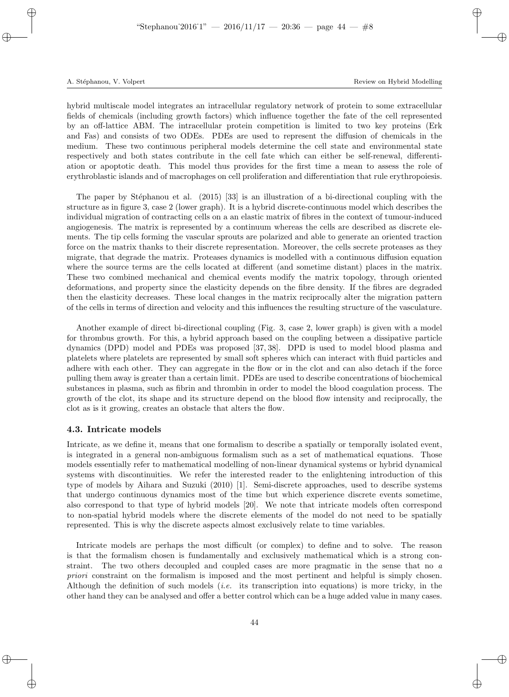hybrid multiscale model integrates an intracellular regulatory network of protein to some extracellular fields of chemicals (including growth factors) which influence together the fate of the cell represented by an off-lattice ABM. The intracellular protein competition is limited to two key proteins (Erk and Fas) and consists of two ODEs. PDEs are used to represent the diffusion of chemicals in the medium. These two continuous peripheral models determine the cell state and environmental state respectively and both states contribute in the cell fate which can either be self-renewal, differentiation or apoptotic death. This model thus provides for the first time a mean to assess the role of erythroblastic islands and of macrophages on cell proliferation and differentiation that rule erythropoiesis.

The paper by Stéphanou et al.  $(2015)$  [33] is an illustration of a bi-directional coupling with the structure as in figure 3, case 2 (lower graph). It is a hybrid discrete-continuous model which describes the individual migration of contracting cells on a an elastic matrix of fibres in the context of tumour-induced angiogenesis. The matrix is represented by a continuum whereas the cells are described as discrete elements. The tip cells forming the vascular sprouts are polarized and able to generate an oriented traction force on the matrix thanks to their discrete representation. Moreover, the cells secrete proteases as they migrate, that degrade the matrix. Proteases dynamics is modelled with a continuous diffusion equation where the source terms are the cells located at different (and sometime distant) places in the matrix. These two combined mechanical and chemical events modify the matrix topology, through oriented deformations, and property since the elasticity depends on the fibre density. If the fibres are degraded then the elasticity decreases. These local changes in the matrix reciprocally alter the migration pattern of the cells in terms of direction and velocity and this influences the resulting structure of the vasculature.

Another example of direct bi-directional coupling (Fig. 3, case 2, lower graph) is given with a model for thrombus growth. For this, a hybrid approach based on the coupling between a dissipative particle dynamics (DPD) model and PDEs was proposed [37, 38]. DPD is used to model blood plasma and platelets where platelets are represented by small soft spheres which can interact with fluid particles and adhere with each other. They can aggregate in the flow or in the clot and can also detach if the force pulling them away is greater than a certain limit. PDEs are used to describe concentrations of biochemical substances in plasma, such as fibrin and thrombin in order to model the blood coagulation process. The growth of the clot, its shape and its structure depend on the blood flow intensity and reciprocally, the clot as is it growing, creates an obstacle that alters the flow.

## 4.3. Intricate models

Intricate, as we define it, means that one formalism to describe a spatially or temporally isolated event, is integrated in a general non-ambiguous formalism such as a set of mathematical equations. Those models essentially refer to mathematical modelling of non-linear dynamical systems or hybrid dynamical systems with discontinuities. We refer the interested reader to the enlightening introduction of this type of models by Aihara and Suzuki (2010) [1]. Semi-discrete approaches, used to describe systems that undergo continuous dynamics most of the time but which experience discrete events sometime, also correspond to that type of hybrid models [20]. We note that intricate models often correspond to non-spatial hybrid models where the discrete elements of the model do not need to be spatially represented. This is why the discrete aspects almost exclusively relate to time variables.

Intricate models are perhaps the most difficult (or complex) to define and to solve. The reason is that the formalism chosen is fundamentally and exclusively mathematical which is a strong constraint. The two others decoupled and coupled cases are more pragmatic in the sense that no a priori constraint on the formalism is imposed and the most pertinent and helpful is simply chosen. Although the definition of such models *(i.e.* its transcription into equations) is more tricky, in the other hand they can be analysed and offer a better control which can be a huge added value in many cases.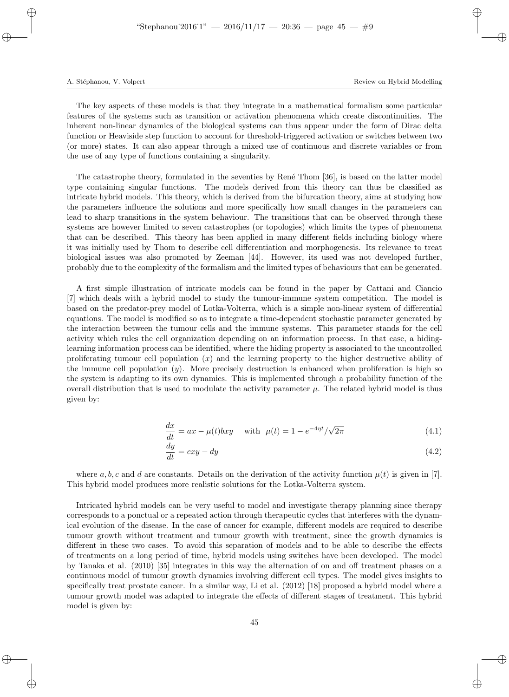The key aspects of these models is that they integrate in a mathematical formalism some particular features of the systems such as transition or activation phenomena which create discontinuities. The inherent non-linear dynamics of the biological systems can thus appear under the form of Dirac delta function or Heaviside step function to account for threshold-triggered activation or switches between two (or more) states. It can also appear through a mixed use of continuous and discrete variables or from the use of any type of functions containing a singularity.

The catastrophe theory, formulated in the seventies by René Thom [36], is based on the latter model type containing singular functions. The models derived from this theory can thus be classified as intricate hybrid models. This theory, which is derived from the bifurcation theory, aims at studying how the parameters influence the solutions and more specifically how small changes in the parameters can lead to sharp transitions in the system behaviour. The transitions that can be observed through these systems are however limited to seven catastrophes (or topologies) which limits the types of phenomena that can be described. This theory has been applied in many different fields including biology where it was initially used by Thom to describe cell differentiation and morphogenesis. Its relevance to treat biological issues was also promoted by Zeeman [44]. However, its used was not developed further, probably due to the complexity of the formalism and the limited types of behaviours that can be generated.

A first simple illustration of intricate models can be found in the paper by Cattani and Ciancio [7] which deals with a hybrid model to study the tumour-immune system competition. The model is based on the predator-prey model of Lotka-Volterra, which is a simple non-linear system of differential equations. The model is modified so as to integrate a time-dependent stochastic parameter generated by the interaction between the tumour cells and the immune systems. This parameter stands for the cell activity which rules the cell organization depending on an information process. In that case, a hidinglearning information process can be identified, where the hiding property is associated to the uncontrolled proliferating tumour cell population  $(x)$  and the learning property to the higher destructive ability of the immune cell population  $(y)$ . More precisely destruction is enhanced when proliferation is high so the system is adapting to its own dynamics. This is implemented through a probability function of the overall distribution that is used to modulate the activity parameter  $\mu$ . The related hybrid model is thus given by:

$$
\frac{dx}{dt} = ax - \mu(t) bxy \quad \text{with} \quad \mu(t) = 1 - e^{-4\eta t} / \sqrt{2\pi}
$$
\n
$$
(4.1)
$$

$$
\frac{dy}{dt} = cxy - dy \tag{4.2}
$$

where a, b, c and d are constants. Details on the derivation of the activity function  $\mu(t)$  is given in [7]. This hybrid model produces more realistic solutions for the Lotka-Volterra system.

Intricated hybrid models can be very useful to model and investigate therapy planning since therapy corresponds to a ponctual or a repeated action through therapeutic cycles that interferes with the dynamical evolution of the disease. In the case of cancer for example, different models are required to describe tumour growth without treatment and tumour growth with treatment, since the growth dynamics is different in these two cases. To avoid this separation of models and to be able to describe the effects of treatments on a long period of time, hybrid models using switches have been developed. The model by Tanaka et al. (2010) [35] integrates in this way the alternation of on and off treatment phases on a continuous model of tumour growth dynamics involving different cell types. The model gives insights to specifically treat prostate cancer. In a similar way, Li et al. (2012) [18] proposed a hybrid model where a tumour growth model was adapted to integrate the effects of different stages of treatment. This hybrid model is given by: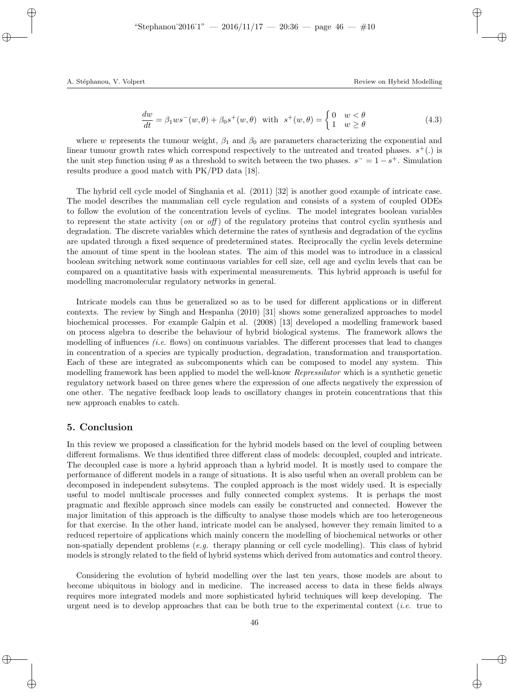$$
\frac{dw}{dt} = \beta_1 w s^-(w, \theta) + \beta_0 s^+(w, \theta) \quad \text{with} \quad s^+(w, \theta) = \begin{cases} 0 & w < \theta \\ 1 & w \ge \theta \end{cases} \tag{4.3}
$$

where w represents the tumour weight,  $\beta_1$  and  $\beta_0$  are parameters characterizing the exponential and linear tumour growth rates which correspond respectively to the untreated and treated phases.  $s^+(\cdot)$  is the unit step function using  $\theta$  as a threshold to switch between the two phases.  $s^- = 1 - s^+$ . Simulation results produce a good match with PK/PD data [18].

The hybrid cell cycle model of Singhania et al. (2011) [32] is another good example of intricate case. The model describes the mammalian cell cycle regulation and consists of a system of coupled ODEs to follow the evolution of the concentration levels of cyclins. The model integrates boolean variables to represent the state activity (*on* or *off*) of the regulatory proteins that control cyclin synthesis and degradation. The discrete variables which determine the rates of synthesis and degradation of the cyclins are updated through a fixed sequence of predetermined states. Reciprocally the cyclin levels determine the amount of time spent in the boolean states. The aim of this model was to introduce in a classical boolean switching network some continuous variables for cell size, cell age and cyclin levels that can be compared on a quantitative basis with experimental measurements. This hybrid approach is useful for modelling macromolecular regulatory networks in general.

Intricate models can thus be generalized so as to be used for different applications or in different contexts. The review by Singh and Hespanha (2010) [31] shows some generalized approaches to model biochemical processes. For example Galpin et al. (2008) [13] developed a modelling framework based on process algebra to describe the behaviour of hybrid biological systems. The framework allows the modelling of influences (i.e. flows) on continuous variables. The different processes that lead to changes in concentration of a species are typically production, degradation, transformation and transportation. Each of these are integrated as subcomponents which can be composed to model any system. This modelling framework has been applied to model the well-know *Repressilator* which is a synthetic genetic regulatory network based on three genes where the expression of one affects negatively the expression of one other. The negative feedback loop leads to oscillatory changes in protein concentrations that this new approach enables to catch.

# 5. Conclusion

In this review we proposed a classification for the hybrid models based on the level of coupling between different formalisms. We thus identified three different class of models: decoupled, coupled and intricate. The decoupled case is more a hybrid approach than a hybrid model. It is mostly used to compare the performance of different models in a range of situations. It is also useful when an overall problem can be decomposed in independent subsytems. The coupled approach is the most widely used. It is especially useful to model multiscale processes and fully connected complex systems. It is perhaps the most pragmatic and flexible approach since models can easily be constructed and connected. However the major limitation of this approach is the difficulty to analyse those models which are too heterogeneous for that exercise. In the other hand, intricate model can be analysed, however they remain limited to a reduced repertoire of applications which mainly concern the modelling of biochemical networks or other non-spatially dependent problems (e.g. therapy planning or cell cycle modelling). This class of hybrid models is strongly related to the field of hybrid systems which derived from automatics and control theory.

Considering the evolution of hybrid modelling over the last ten years, those models are about to become ubiquitous in biology and in medicine. The increased access to data in these fields always requires more integrated models and more sophisticated hybrid techniques will keep developing. The urgent need is to develop approaches that can be both true to the experimental context (*i.e.* true to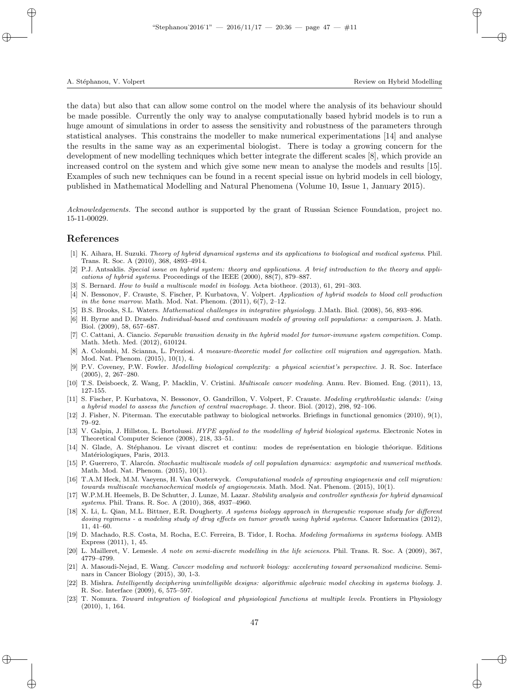the data) but also that can allow some control on the model where the analysis of its behaviour should be made possible. Currently the only way to analyse computationally based hybrid models is to run a huge amount of simulations in order to assess the sensitivity and robustness of the parameters through statistical analyses. This constrains the modeller to make numerical experimentations [14] and analyse the results in the same way as an experimental biologist. There is today a growing concern for the development of new modelling techniques which better integrate the different scales [8], which provide an increased control on the system and which give some new mean to analyse the models and results [15]. Examples of such new techniques can be found in a recent special issue on hybrid models in cell biology, published in Mathematical Modelling and Natural Phenomena (Volume 10, Issue 1, January 2015).

Acknowledgements. The second author is supported by the grant of Russian Science Foundation, project no. 15-11-00029.

### References

- [1] K. Aihara, H. Suzuki. Theory of hybrid dynamical systems and its applications to biological and medical systems. Phil. Trans. R. Soc. A (2010), 368, 4893–4914.
- [2] P.J. Antsaklis. Special issue on hybrid system: theory and applications. A brief introduction to the theory and applications of hybrid systems. Proceedings of the IEEE (2000), 88(7), 879–887.
- [3] S. Bernard. How to build a multiscale model in biology. Acta biotheor. (2013), 61, 291–303.
- [4] N. Bessonov, F. Crauste, S. Fischer, P. Kurbatova, V. Volpert. Application of hybrid models to blood cell production in the bone marrow. Math. Mod. Nat. Phenom.  $(2011)$ ,  $6(7)$ ,  $2-12$ .
- [5] B.S. Brooks, S.L. Waters. Mathematical challenges in integrative physiology. J.Math. Biol. (2008), 56, 893–896.
- [6] H. Byrne and D. Drasdo. Individual-based and continuum models of growing cell populations: a comparison. J. Math. Biol. (2009), 58, 657–687.
- [7] C. Cattani, A. Ciancio. Separable transition density in the hybrid model for tumor-immune system competition. Comp. Math. Meth. Med. (2012), 610124.
- [8] A. Colombi, M. Scianna, L. Preziosi. A measure-theoretic model for collective cell migration and aggregation. Math. Mod. Nat. Phenom. (2015), 10(1), 4.
- [9] P.V. Coveney, P.W. Fowler. Modelling biological complexity: a physical scientist's perspective. J. R. Soc. Interface (2005), 2, 267–280.
- [10] T.S. Deisboeck, Z. Wang, P. Macklin, V. Cristini. Multiscale cancer modeling. Annu. Rev. Biomed. Eng. (2011), 13, 127-155.
- [11] S. Fischer, P. Kurbatova, N. Bessonov, O. Gandrillon, V. Volpert, F. Crauste. Modeling erythroblastic islands: Using a hybrid model to assess the function of central macrophage. J. theor. Biol. (2012), 298, 92–106.
- [12] J. Fisher, N. Piterman. The executable pathway to biological networks. Briefings in functional genomics (2010), 9(1), 79–92.
- [13] V. Galpin, J. Hillston, L. Bortolussi. HYPE applied to the modelling of hybrid biological systems. Electronic Notes in Theoretical Computer Science (2008), 218, 33–51.
- [14] N. Glade, A. Stéphanou. Le vivant discret et continu: modes de représentation en biologie théorique. Editions Matériologiques, Paris, 2013.
- [15] P. Guerrero, T. Alarcón. Stochastic multiscale models of cell population dynamics: asymptotic and numerical methods. Math. Mod. Nat. Phenom. (2015), 10(1).
- [16] T.A.M Heck, M.M. Vaeyens, H. Van Oosterwyck. Computational models of sprouting angiogenesis and cell migration: towards multiscale mechanochemical models of angiogenesis. Math. Mod. Nat. Phenom. (2015), 10(1).
- [17] W.P.M.H. Heemels, B. De Schutter, J. Lunze, M. Lazar. Stability analysis and controller synthesis for hybrid dynamical systems. Phil. Trans. R. Soc. A (2010), 368, 4937–4960.
- [18] X. Li, L. Qian, M.L. Bittner, E.R. Dougherty. A systems biology approach in therapeutic response study for different dosing regimens - a modeling study of drug effects on tumor growth using hybrid systems. Cancer Informatics (2012), 11, 41–60.
- [19] D. Machado, R.S. Costa, M. Rocha, E.C. Ferreira, B. Tidor, I. Rocha. Modeling formalisms in systems biology. AMB Express (2011), 1, 45.
- [20] L. Mailleret, V. Lemesle. A note on semi-discrete modelling in the life sciences. Phil. Trans. R. Soc. A (2009), 367, 4779–4799.
- [21] A. Masoudi-Nejad, E. Wang. Cancer modeling and network biology: accelerating toward personalized medicine. Seminars in Cancer Biology (2015), 30, 1-3.
- [22] B. Mishra. Intelligently deciphering unintelligible designs: algorithmic algebraic model checking in systems biology. J. R. Soc. Interface (2009), 6, 575–597.
- [23] T. Nomura. Toward integration of biological and physiological functions at multiple levels. Frontiers in Physiology (2010), 1, 164.